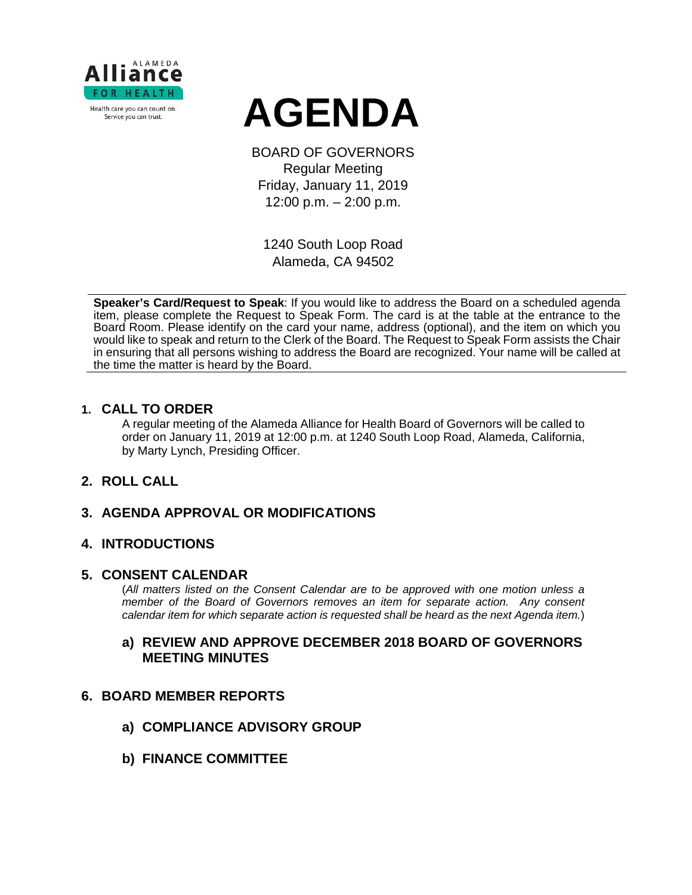

# **AGENDA**

BOARD OF GOVERNORS Regular Meeting Friday, January 11, 2019 12:00 p.m. – 2:00 p.m.

1240 South Loop Road Alameda, CA 94502

**Speaker's Card/Request to Speak**: If you would like to address the Board on a scheduled agenda item, please complete the Request to Speak Form. The card is at the table at the entrance to the Board Room. Please identify on the card your name, address (optional), and the item on which you would like to speak and return to the Clerk of the Board. The Request to Speak Form assists the Chair in ensuring that all persons wishing to address the Board are recognized. Your name will be called at the time the matter is heard by the Board.

#### **1. CALL TO ORDER**

A regular meeting of the Alameda Alliance for Health Board of Governors will be called to order on January 11, 2019 at 12:00 p.m. at 1240 South Loop Road, Alameda, California, by Marty Lynch, Presiding Officer.

## **2. ROLL CALL**

# **3. AGENDA APPROVAL OR MODIFICATIONS**

## **4. INTRODUCTIONS**

#### **5. CONSENT CALENDAR**

(*All matters listed on the Consent Calendar are to be approved with one motion unless a member of the Board of Governors removes an item for separate action. Any consent calendar item for which separate action is requested shall be heard as the next Agenda item.*)

#### **a) REVIEW AND APPROVE DECEMBER 2018 BOARD OF GOVERNORS MEETING MINUTES**

#### **6. BOARD MEMBER REPORTS**

- **a) COMPLIANCE ADVISORY GROUP**
- **b) FINANCE COMMITTEE**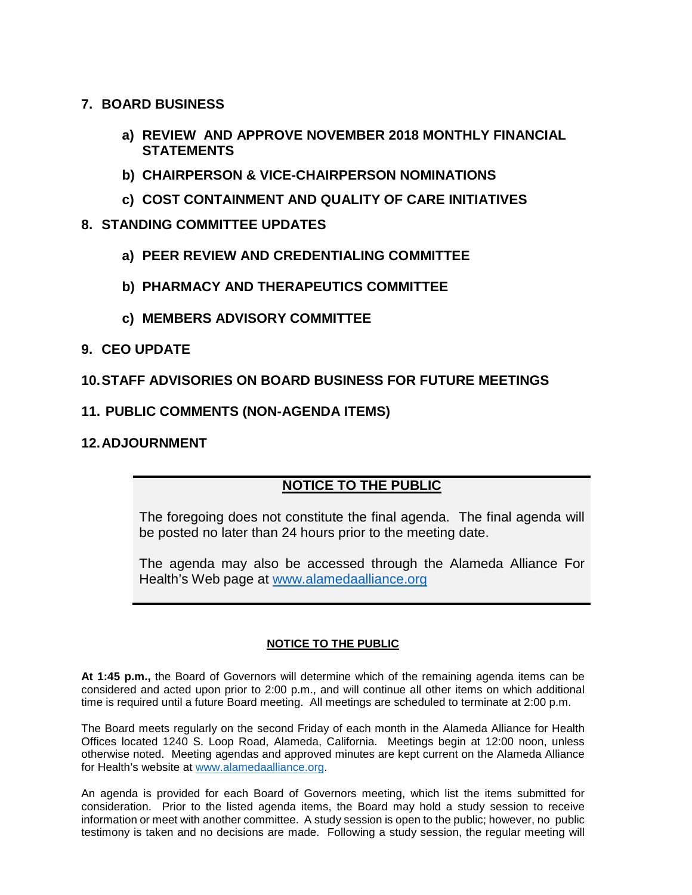- **7. BOARD BUSINESS**
	- **a) REVIEW AND APPROVE NOVEMBER 2018 MONTHLY FINANCIAL STATEMENTS**
	- **b) CHAIRPERSON & VICE-CHAIRPERSON NOMINATIONS**
	- **c) COST CONTAINMENT AND QUALITY OF CARE INITIATIVES**
- **8. STANDING COMMITTEE UPDATES**
	- **a) PEER REVIEW AND CREDENTIALING COMMITTEE**
	- **b) PHARMACY AND THERAPEUTICS COMMITTEE**
	- **c) MEMBERS ADVISORY COMMITTEE**
- **9. CEO UPDATE**

## **10.STAFF ADVISORIES ON BOARD BUSINESS FOR FUTURE MEETINGS**

#### **11. PUBLIC COMMENTS (NON-AGENDA ITEMS)**

## **12.ADJOURNMENT**

# **NOTICE TO THE PUBLIC**

The foregoing does not constitute the final agenda. The final agenda will be posted no later than 24 hours prior to the meeting date.

The agenda may also be accessed through the Alameda Alliance For Health's Web page at [www.alamedaalliance.org](http://www.alamedaalliance.org/)

#### **NOTICE TO THE PUBLIC**

**At 1:45 p.m.,** the Board of Governors will determine which of the remaining agenda items can be considered and acted upon prior to 2:00 p.m., and will continue all other items on which additional time is required until a future Board meeting. All meetings are scheduled to terminate at 2:00 p.m.

The Board meets regularly on the second Friday of each month in the Alameda Alliance for Health Offices located 1240 S. Loop Road, Alameda, California. Meetings begin at 12:00 noon, unless otherwise noted. Meeting agendas and approved minutes are kept current on the Alameda Alliance for Health's website at [www.alamedaalliance.org.](http://www.alamedaalliance.org/)

An agenda is provided for each Board of Governors meeting, which list the items submitted for consideration. Prior to the listed agenda items, the Board may hold a study session to receive information or meet with another committee. A study session is open to the public; however, no public testimony is taken and no decisions are made. Following a study session, the regular meeting will